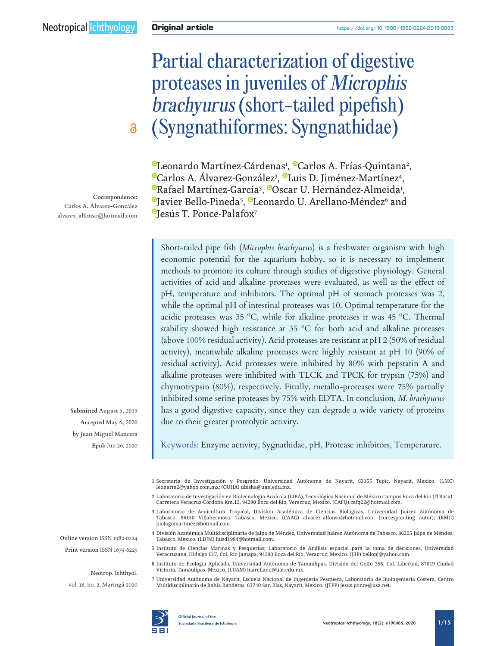# Partial characterization of digestive proteases in juveniles of Microphis brachyurus (short-tailed pipefish) (Syngnathiformes: Syngnathidae)

[L](http://orcid.org/0000-0002-8705-8146)eonardo Martínez-Cárdenas<sup>,</sup> ®Carlos A. Frías-Quintana<sup>2</sup>, '[C](https://orcid.org/0000-0001-9240-0041)arlos A. Álvarez-González<sup>3</sup>, ®Luis D. Jiménez-Martínez<sup>4</sup>, [R](https://orcid.org/0000-0003-2560-1518)afael Martínez-García<sup>3</sup>, ®Oscar U. Hernández-Almeida<sup>1</sup>, [J](https://orcid.org/0000-0003-4432-0957)avier Bello-Pineda<sup>5</sup>, ®Leonardo U. Arellano-Méndez<sup>6</sup> and <sup>®</sup>[J](http://orcid.org/0000-0002-1088-7114)esús T. Ponce-Palafox<sup>7</sup>

Short-tailed pipe fish (*Microphis brachyurus*) is a freshwater organism with high economic potential for the aquarium hobby, so it is necessary to implement methods to promote its culture through studies of digestive physiology. General activities of acid and alkaline proteases were evaluated, as well as the effect of pH, temperature and inhibitors. The optimal pH of stomach proteases was 2, while the optimal pH of intestinal proteases was 10. Optimal temperature for the acidic proteases was 35 ºC, while for alkaline proteases it was 45 ºC. Thermal stability showed high resistance at 35 ºC for both acid and alkaline proteases (above 100% residual activity). Acid proteases are resistant at pH 2 (50% of residual activity), meanwhile alkaline proteases were highly resistant at pH 10 (90% of residual activity). Acid proteases were inhibited by 80% with pepstatin A and alkaline proteases were inhibited with TLCK and TPCK for trypsin (75%) and chymotrypsin (80%), respectively. Finally, metallo-proteases were 75% partially inhibited some serine proteases by 75% with EDTA. In conclusion, *M. brachyurus* has a good digestive capacity, since they can degrade a wide variety of proteins due to their greater proteolytic activity.

Keywords: Enzyme activity, Sygnathidae, pH, Protease inhibitors, Temperature.

**1** Secretaria de Investigación y Posgrado, Universidad Autónoma de Nayarit, 63155 Tepic, Nayarit, Mexico. (LMC) [leonarm2@yahoo.com.mx;](mailto:leonarm2%40yahoo.com.mx?subject=) (OUHA) [ubisha@uan.edu.mx](mailto:ubisha%40uan.edu.mx?subject=).

**2** Laboratorio de Investigación en Biotecnología Acuícola (LIBA), Tecnológico Nacional de México Campus Boca del Río (ITBoca). Carretera Veracruz-Córdoba Km.12, 94290 Boca del Río, Veracruz, Mexico. (CAFQ) [cafq22@hotmail.com.](mailto:cafq22%40hotmail.com?subject=)

- **3** Laboratorio de Acuicultura Tropical, División Académica de Ciencias Biológicas, Universidad Juárez Autónoma de Tabasco, 86150 Villahermosa, Tabasco, Mexico. (CAAG) [alvarez\\_alfonso@hotmail.com](mailto:alvarez_alfonso%40hotmail.com?subject=) (corresponding autor); (RMG) [biologomartinez@hotmail.com](mailto:biologomartinez%40hotmail.com?subject=).
- **4** División Académica Multidisciplinaria de Jalpa de Méndez, Universidad Juárez Autónoma de Tabasco, 86205 Jalpa de Méndez, Tabasco, Mexico. (LDJM) [luisd1984@hotmail.com](mailto:luisd1984%40hotmail.com?subject=).
- **5** Instituto de Ciencias Marinas y Pesquerías; Laboratorio de Análisis espacial para la toma de decisiones, Universidad Veracruzana, Hidalgo 617, Col. Río Jamapa, 94290 Boca del Río, Veracruz, Mexico. (JBP) [bellopj@yahoo.com](mailto:bellopj%40yahoo.com?subject=).
- **6** Instituto de Ecología Aplicada, Universidad Autónoma de Tamaulipas, División del Golfo 356, Col. Libertad, 87019 Ciudad Victoria, Tamaulipas, Mexico. (LUAM) [luarellano@uat.edu.mx.](mailto:luarellano%40uat.edu.mx?subject=)
- **7** Universidad Autónoma de Nayarit, Escuela Nacional de Ingeniería Pesquera, Laboratorio de Bioingeniería Costera, Centro Multidisciplinario de Bahía Banderas, 63740 San Blas, Nayarit, Mexico. (JTPP) [jesus.ponce@usa.net.](mailto:jesus.ponce%40usa.net?subject=)

**Correspondence: Carlos A. Álvarez-González [alvarez\\_alfonso@hotmail.com](mailto:alvarez_alfonso%40hotmail.com?subject=)**

 $\delta$ 

**Submitted August 5, 2019 Accepted May 6, 2020 by Juan Miguel Mancera Epub** Jun 26, 2020

Online version ISSN 1982-0224 Print version ISSN 1679-6225

Neotrop. Ichthyol.

vol. 18, no. 2, Maringá 2020

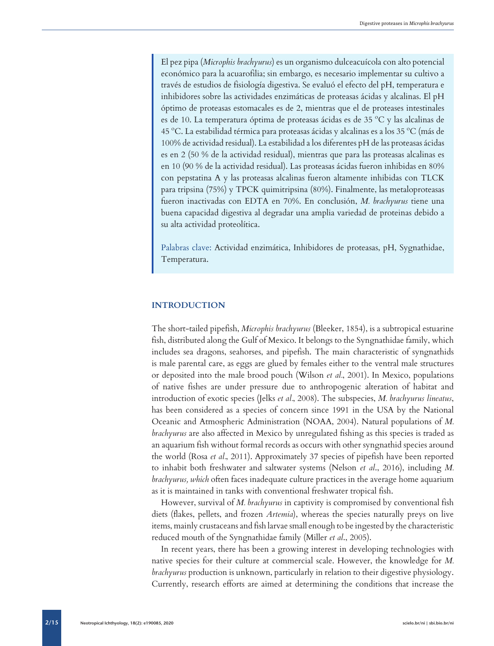El pez pipa (*Microphis brachyurus*) es un organismo dulceacuícola con alto potencial económico para la acuarofilia; sin embargo, es necesario implementar su cultivo a través de estudios de fisiología digestiva. Se evaluó el efecto del pH, temperatura e inhibidores sobre las actividades enzimáticas de proteasas ácidas y alcalinas. El pH óptimo de proteasas estomacales es de 2, mientras que el de proteases intestinales es de 10. La temperatura óptima de proteasas ácidas es de 35 ºC y las alcalinas de 45 ºC. La estabilidad térmica para proteasas ácidas y alcalinas es a los 35 ºC (más de 100% de actividad residual). La estabilidad a los diferentes pH de las proteasas ácidas es en 2 (50 % de la actividad residual), mientras que para las proteasas alcalinas es en 10 (90 % de la actividad residual). Las proteasas ácidas fueron inhibidas en 80% con pepstatina A y las proteasas alcalinas fueron altamente inhibidas con TLCK para tripsina (75%) y TPCK quimitripsina (80%). Finalmente, las metaloproteasas fueron inactivadas con EDTA en 70%. En conclusión, *M. brachyurus* tiene una buena capacidad digestiva al degradar una amplia variedad de proteinas debido a su alta actividad proteolítica.

Palabras clave: Actividad enzimática, Inhibidores de proteasas, pH, Sygnathidae, Temperatura.

## **INTRODUCTION**

The short-tailed pipefish, *Microphis brachyurus* (Bleeker, 1854), is a subtropical estuarine fish, distributed along the Gulf of Mexico. It belongs to the Syngnathidae family, which includes sea dragons, seahorses, and pipefish. The main characteristic of syngnathids is male parental care, as eggs are glued by females either to the ventral male structures or deposited into the male brood pouch (Wilson *et al.*, 2001). In Mexico, populations of native fishes are under pressure due to anthropogenic alteration of habitat and introduction of exotic species (Jelks *et al.*, 2008). The subspecies, *M. brachyurus lineatus*, has been considered as a species of concern since 1991 in the USA by the National Oceanic and Atmospheric Administration (NOAA, 2004). Natural populations of *M. brachyurus* are also affected in Mexico by unregulated fishing as this species is traded as an aquarium fish without formal records as occurs with other syngnathid species around the world (Rosa *et al.*, 2011). Approximately 37 species of pipefish have been reported to inhabit both freshwater and saltwater systems (Nelson *et al*., 2016), including *M. brachyurus, which* often faces inadequate culture practices in the average home aquarium as it is maintained in tanks with conventional freshwater tropical fish.

However, survival of *M. brachyurus* in captivity is compromised by conventional fish diets (flakes, pellets, and frozen *Artemia*), whereas the species naturally preys on live items, mainly crustaceans and fish larvae small enough to be ingested by the characteristic reduced mouth of the Syngnathidae family (Miller *et al*., 2005).

In recent years, there has been a growing interest in developing technologies with native species for their culture at commercial scale. However, the knowledge for *M. brachyurus* production is unknown, particularly in relation to their digestive physiology. Currently, research efforts are aimed at determining the conditions that increase the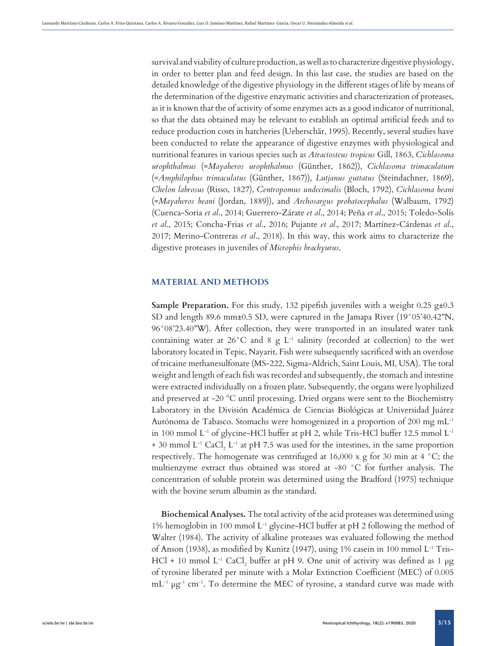survival and viability of culture production, as well as to characterize digestive physiology, in order to better plan and feed design. In this last case, the studies are based on the detailed knowledge of the digestive physiology in the different stages of life by means of the determination of the digestive enzymatic activities and characterization of proteases, as it is known that the of activity of some enzymes acts as a good indicator of nutritional, so that the data obtained may be relevant to establish an optimal artificial feeds and to reduce production costs in hatcheries (Ueberschär, 1995). Recently, several studies have been conducted to relate the appearance of digestive enzymes with physiological and nutritional features in various species such as *Atractosteus tropicus* Gill, 1863, *Cichlasoma urophthalmus* (=*Mayaheros urophthalmus* (Günther, 1862)), *Cichlasoma trimaculatum*  (=*Amphilophus trimaculatus* (Günther, 1867)), *Lutjanus guttatus* (Steindachner, 1869), *Chelon labrosus* (Risso, 1827), *Centropomus undecimalis* (Bloch, 1792), *Cichlasoma beani* (=*Mayaheros beani* (Jordan, 1889)), and *Archosargus probatocephalus* (Walbaum, 1792) (Cuenca-Soria *et al*., 2014; Guerrero-Zárate *et al*., 2014; Peña *et al*., 2015; Toledo-Solís *et al*., 2015; Concha-Frias *et al*., 2016; Pujante *et al.*, 2017; Martínez-Cárdenas *et al*., 2017; Merino-Contreras *et al*., 2018). In this way, this work aims to characterize the digestive proteases in juveniles of *Microphis brachyurus*.

## **MATERIAL AND METHODS**

**Sample Preparation.** For this study, 132 pipefish juveniles with a weight 0.25 g±0.3 SD and length 89.6 mm±0.5 SD, were captured in the Jamapa River (19°05'40.42"N, 96°08'23.40"W). After collection, they were transported in an insulated water tank containing water at  $26^{\circ}$ C and 8 g L<sup>-1</sup> salinity (recorded at collection) to the wet laboratory located in Tepic, Nayarit. Fish were subsequently sacrificed with an overdose of tricaine methanesulfonate (MS-222, Sigma-Aldrich, Saint Louis, MI, USA). The total weight and length of each fish was recorded and subsequently, the stomach and intestine were extracted individually on a frozen plate. Subsequently, the organs were lyophilized and preserved at -20 ºC until processing. Dried organs were sent to the Biochemistry Laboratory in the División Académica de Ciencias Biológicas at Universidad Juárez Autónoma de Tabasco. Stomachs were homogenized in a proportion of 200 mg mL-1 in 100 mmol  $L^{-1}$  of glycine-HCl buffer at pH 2, while Tris-HCl buffer 12.5 mmol  $L^{-1}$ + 30 mmol  $L^{-1}$  CaCl<sub>2</sub>  $L^{-1}$  at pH 7.5 was used for the intestines, in the same proportion respectively. The homogenate was centrifuged at 16,000 x g for 30 min at 4 °C; the multienzyme extract thus obtained was stored at -80 °C for further analysis. The concentration of soluble protein was determined using the Bradford (1975) technique with the bovine serum albumin as the standard.

**Biochemical Analyses.** The total activity of the acid proteases was determined using 1% hemoglobin in 100 mmol L<sup>-1</sup> glycine-HCl buffer at pH 2 following the method of Walter (1984). The activity of alkaline proteases was evaluated following the method of Anson (1938), as modified by Kunitz (1947), using 1% casein in 100 mmol L-1 Tris-HCl + 10 mmol L<sup>-1</sup> CaCl<sub>2</sub> buffer at pH 9. One unit of activity was defined as 1  $\mu$ g of tyrosine liberated per minute with a Molar Extinction Coefficient (MEC) of 0.005  $mL^{-1}$  µg<sup>-1</sup> cm<sup>-1</sup>. To determine the MEC of tyrosine, a standard curve was made with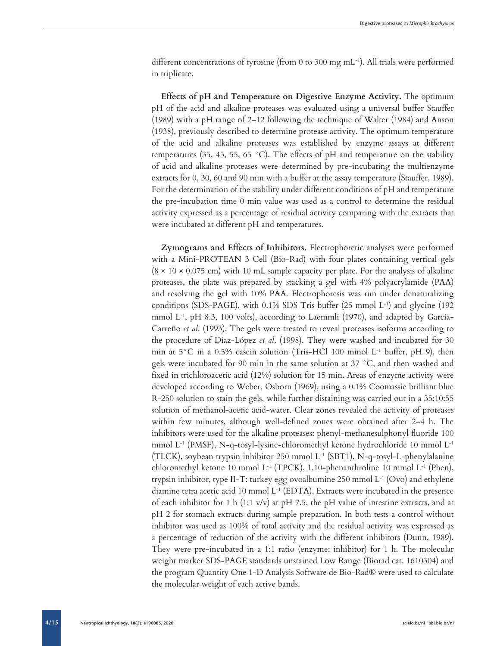different concentrations of tyrosine (from 0 to 300 mg mL<sup>-1</sup>). All trials were performed in triplicate.

**Effects of pH and Temperature on Digestive Enzyme Activity.** The optimum pH of the acid and alkaline proteases was evaluated using a universal buffer Stauffer (1989) with a pH range of 2–12 following the technique of Walter (1984) and Anson (1938), previously described to determine protease activity. The optimum temperature of the acid and alkaline proteases was established by enzyme assays at different temperatures (35, 45, 55, 65 °C). The effects of pH and temperature on the stability of acid and alkaline proteases were determined by pre-incubating the multienzyme extracts for 0, 30, 60 and 90 min with a buffer at the assay temperature (Stauffer, 1989). For the determination of the stability under different conditions of pH and temperature the pre-incubation time 0 min value was used as a control to determine the residual activity expressed as a percentage of residual activity comparing with the extracts that were incubated at different pH and temperatures.

**Zymograms and Effects of Inhibitors.** Electrophoretic analyses were performed with a Mini-PROTEAN 3 Cell (Bio-Rad) with four plates containing vertical gels  $(8 \times 10 \times 0.075$  cm) with 10 mL sample capacity per plate. For the analysis of alkaline proteases, the plate was prepared by stacking a gel with 4% polyacrylamide (PAA) and resolving the gel with 10% PAA. Electrophoresis was run under denaturalizing conditions (SDS-PAGE), with  $0.1\%$  SDS Tris buffer (25 mmol L<sup>-1</sup>) and glycine (192) mmol L-1, pH 8.3, 100 volts), according to Laemmli (1970), and adapted by García-Carreño *et al*. (1993). The gels were treated to reveal proteases isoforms according to the procedure of Díaz-López *et al*. (1998). They were washed and incubated for 30 min at  $5^{\circ}$ C in a 0.5% casein solution (Tris-HCl 100 mmol L<sup>-1</sup> buffer, pH 9), then gels were incubated for 90 min in the same solution at 37 °C, and then washed and fixed in trichloroacetic acid (12%) solution for 15 min. Areas of enzyme activity were developed according to Weber, Osborn (1969), using a 0.1% Coomassie brilliant blue R-250 solution to stain the gels, while further distaining was carried out in a 35:10:55 solution of methanol-acetic acid-water. Clear zones revealed the activity of proteases within few minutes, although well-defined zones were obtained after 2–4 h. The inhibitors were used for the alkaline proteases: phenyl-methanesulphonyl fluoride 100 mmol L<sup>-1</sup> (PMSF), N-q-tosyl-lysine-chloromethyl ketone hydrochloride 10 mmol L<sup>-1</sup> (TLCK), soybean trypsin inhibitor 250 mmol  $L^{-1}$  (SBT1), N-q-tosyl-L-phenylalanine chloromethyl ketone 10 mmol L<sup>-1</sup> (TPCK), 1,10-phenanthroline 10 mmol L<sup>-1</sup> (Phen), trypsin inhibitor, type II-T: turkey egg ovoalbumine 250 mmol  $L^{-1}$  (Ovo) and ethylene diamine tetra acetic acid 10 mmol L-1 (EDTA). Extracts were incubated in the presence of each inhibitor for 1 h (1:1 v/v) at pH 7.5, the pH value of intestine extracts, and at pH 2 for stomach extracts during sample preparation. In both tests a control without inhibitor was used as 100% of total activity and the residual activity was expressed as a percentage of reduction of the activity with the different inhibitors (Dunn, 1989). They were pre-incubated in a 1:1 ratio (enzyme: inhibitor) for 1 h. The molecular weight marker SDS-PAGE standards unstained Low Range (Biorad cat. 1610304) and the program Quantity One 1-D Analysis Software de Bio-Rad® were used to calculate the molecular weight of each active bands.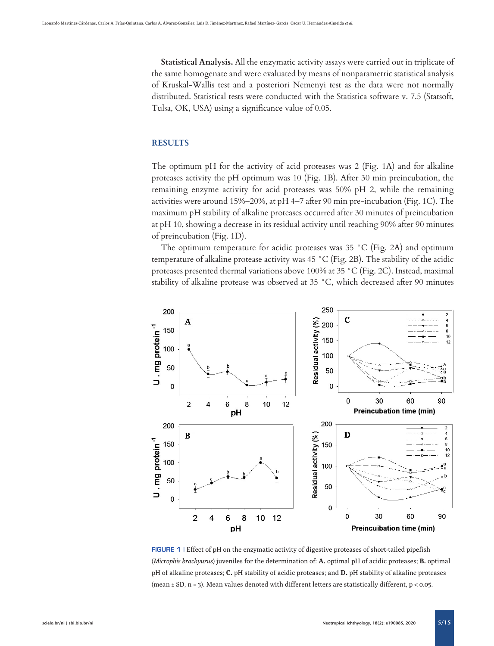**Statistical Analysis.** All the enzymatic activity assays were carried out in triplicate of the same homogenate and were evaluated by means of nonparametric statistical analysis of Kruskal-Wallis test and a posteriori Nemenyi test as the data were not normally distributed. Statistical tests were conducted with the Statistica software v. 7.5 (Statsoft, Tulsa, OK, USA) using a significance value of 0.05.

# **RESULTS**

The optimum pH for the activity of acid proteases was 2 (Fig. 1A) and for alkaline proteases activity the pH optimum was 10 (Fig. 1B). After 30 min preincubation, the remaining enzyme activity for acid proteases was 50% pH 2, while the remaining activities were around 15%–20%, at pH 4–7 after 90 min pre-incubation (Fig. 1C). The maximum pH stability of alkaline proteases occurred after 30 minutes of preincubation at pH 10, showing a decrease in its residual activity until reaching 90% after 90 minutes of preincubation (Fig. 1D).

The optimum temperature for acidic proteases was 35 °C (Fig. 2A) and optimum temperature of alkaline protease activity was 45 °C (Fig. 2B). The stability of the acidic proteases presented thermal variations above 100% at 35 °C (Fig. 2C). Instead, maximal stability of alkaline protease was observed at 35 °C, which decreased after 90 minutes



FIGURE 1 | Effect of pH on the enzymatic activity of digestive proteases of short-tailed pipefish (*Microphis brachyurus*) juveniles for the determination of: **A.** optimal pH of acidic proteases; **B.** optimal pH of alkaline proteases; **C.** pH stability of acidic proteases; and **D.** pH stability of alkaline proteases (mean  $\pm$  SD, n = 3). Mean values denoted with different letters are statistically different, p < 0.05.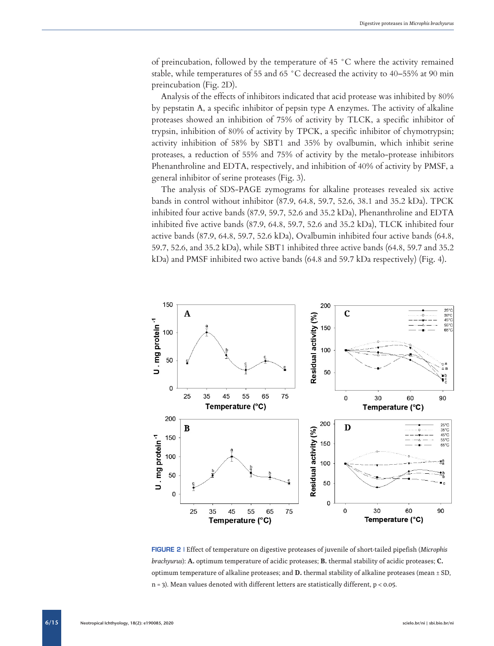of preincubation, followed by the temperature of 45 °C where the activity remained stable, while temperatures of 55 and 65 °C decreased the activity to 40–55% at 90 min preincubation (Fig. 2D).

Analysis of the effects of inhibitors indicated that acid protease was inhibited by 80% by pepstatin A, a specific inhibitor of pepsin type A enzymes. The activity of alkaline proteases showed an inhibition of 75% of activity by TLCK, a specific inhibitor of trypsin, inhibition of 80% of activity by TPCK, a specific inhibitor of chymotrypsin; activity inhibition of 58% by SBT1 and 35% by ovalbumin, which inhibit serine proteases, a reduction of 55% and 75% of activity by the metalo-protease inhibitors Phenanthroline and EDTA, respectively, and inhibition of 40% of activity by PMSF, a general inhibitor of serine proteases (Fig. 3).

The analysis of SDS-PAGE zymograms for alkaline proteases revealed six active bands in control without inhibitor (87.9, 64.8, 59.7, 52.6, 38.1 and 35.2 kDa). TPCK inhibited four active bands (87.9, 59.7, 52.6 and 35.2 kDa), Phenanthroline and EDTA inhibited five active bands (87.9, 64.8, 59.7, 52.6 and 35.2 kDa), TLCK inhibited four active bands (87.9, 64.8, 59.7, 52.6 kDa), Ovalbumin inhibited four active bands (64.8, 59.7, 52.6, and 35.2 kDa), while SBT1 inhibited three active bands (64.8, 59.7 and 35.2 kDa) and PMSF inhibited two active bands (64.8 and 59.7 kDa respectively) (Fig. 4).



FIGURE 2 | Effect of temperature on digestive proteases of juvenile of short-tailed pipefish (*Microphis brachyurus*): **A.** optimum temperature of acidic proteases; **B.** thermal stability of acidic proteases; **C.** optimum temperature of alkaline proteases; and **D.** thermal stability of alkaline proteases (mean ± SD, n = 3). Mean values denoted with different letters are statistically different, p < 0.05.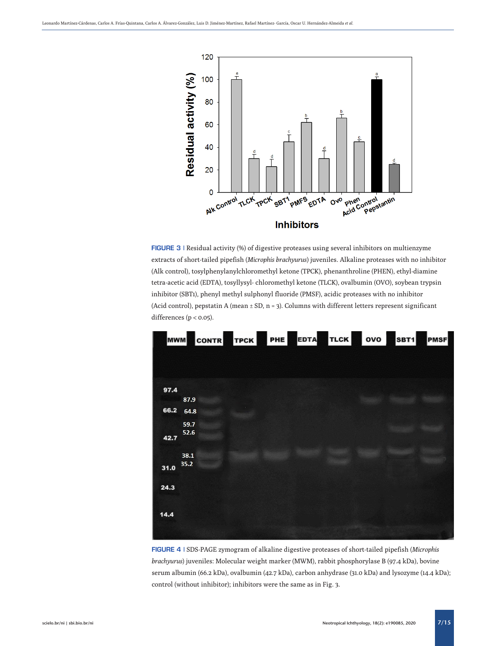

FIGURE 3 | Residual activity (%) of digestive proteases using several inhibitors on multienzyme extracts of short-tailed pipefish (*Microphis brachyurus*) juveniles. Alkaline proteases with no inhibitor (Alk control), tosylphenylanylchloromethyl ketone (TPCK), phenanthroline (PHEN), ethyl-diamine tetra-acetic acid (EDTA), tosyllysyl- chloromethyl ketone (TLCK), ovalbumin (OVO), soybean trypsin inhibitor (SBT1), phenyl methyl sulphonyl fluoride (PMSF), acidic proteases with no inhibitor (Acid control), pepstatin A (mean  $\pm$  SD, n = 3). Columns with different letters represent significant differences (p < 0.05).

|      | <b>MWM</b> | CONTR TPCK PHE EDTA TLCK OVO SBT1 PMSF |  |  |  |
|------|------------|----------------------------------------|--|--|--|
|      |            |                                        |  |  |  |
|      |            |                                        |  |  |  |
| 97.4 |            |                                        |  |  |  |
|      | 87.9       |                                        |  |  |  |
| 66.2 | 64.8       |                                        |  |  |  |
|      | 59.7       |                                        |  |  |  |
| 42.7 | 52.6       |                                        |  |  |  |
|      |            |                                        |  |  |  |
|      | 38.1       |                                        |  |  |  |
| 31.0 | 35.2       |                                        |  |  |  |
|      |            |                                        |  |  |  |
| 24.3 |            |                                        |  |  |  |
|      |            |                                        |  |  |  |
|      |            |                                        |  |  |  |
| 14.4 |            |                                        |  |  |  |
|      |            |                                        |  |  |  |
|      |            |                                        |  |  |  |

FIGURE 4 | SDS-PAGE zymogram of alkaline digestive proteases of short-tailed pipefish (*Microphis brachyurus*) juveniles: Molecular weight marker (MWM), rabbit phosphorylase B (97.4 kDa), bovine serum albumin (66.2 kDa), ovalbumin (42.7 kDa), carbon anhydrase (31.0 kDa) and lysozyme (14.4 kDa); control (without inhibitor); inhibitors were the same as in Fig. 3.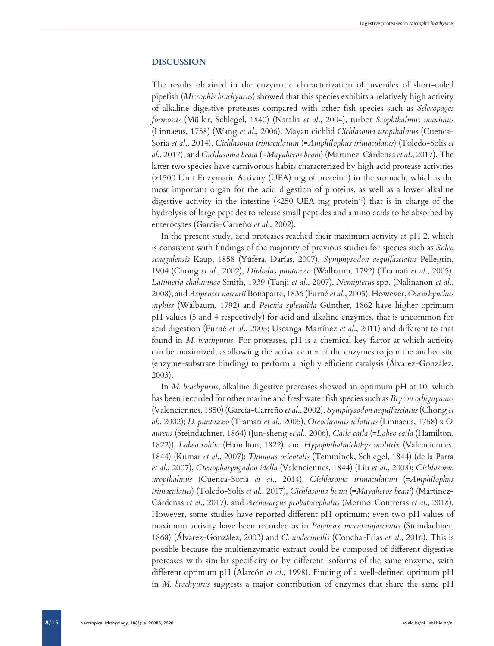## **DISCUSSION**

The results obtained in the enzymatic characterization of juveniles of short-tailed pipefish (*Microphis brachyurus*) showed that this species exhibits a relatively high activity of alkaline digestive proteases compared with other fish species such as *Scleropages formosus* (Müller, Schlegel, 1840) (Natalia *et al*., 2004), turbot *Scophthalmus maximus*  (Linnaeus, 1758) (Wang *et al*., 2006), Mayan cichlid *Cichlasoma uropthalmus* (Cuenca-Soria *et al*., 2014), *Cichlasoma trimaculatum* (=*Amphilophus trimaculatus*) (Toledo-Solís *et al*., 2017), and *Cichlasoma beani* (=*Mayaheros beani*) (Mártinez-Cárdenas *et al*., 2017). The latter two species have carnivorous habits characterized by high acid protease activities (>1500 Unit Enzymatic Activity (UEA) mg of protein-1) in the stomach, which is the most important organ for the acid digestion of proteins, as well as a lower alkaline digestive activity in the intestine  $(250 \text{ UEA mg protein}^{-1})$  that is in charge of the hydrolysis of large peptides to release small peptides and amino acids to be absorbed by enterocytes (García-Carreño *et al*., 2002).

In the present study, acid proteases reached their maximum activity at pH 2, which is consistent with findings of the majority of previous studies for species such as *Solea senegalensis* Kaup, 1858 (Yúfera, Darías, 2007), *Symphysodon aequifasciatus* Pellegrin, 1904 (Chong *et al*., 2002), *Diplodus puntazzo* (Walbaum, 1792) (Tramati *et al*., 2005), *Latimeria chalumnae* Smith, 1939 (Tanji *et al*., 2007), *Nemipterus* spp. (Nalinanon *et al*., 2008), and *Acipenser naccarii* Bonaparte, 1836 (Furné *et al*., 2005). However, *Oncorhynchus mykiss* (Walbaum, 1792) and *Petenia splendida* Günther, 1862 have higher optimum pH values (5 and 4 respectively) for acid and alkaline enzymes, that is uncommon for acid digestion (Furné *et al*., 2005; Uscanga-Martínez *et al*., 2011) and different to that found in *M. brachyurus*. For proteases, pH is a chemical key factor at which activity can be maximized, as allowing the active center of the enzymes to join the anchor site (enzyme-substrate binding) to perform a highly efficient catalysis (Álvarez-González, 2003).

In *M. brachyurus*, alkaline digestive proteases showed an optimum pH at 10, which has been recorded for other marine and freshwater fish species such as *Brycon orbignyanus*  (Valenciennes, 1850) (García-Carreño *et al*., 2002), *Symphysodon aequifasciatus* (Chong *et al*., 2002); *D. puntazzo* (Tramati *et al*., 2005), *Oreochromis niloticus* (Linnaeus, 1758) x *O. aureus* (Steindachner, 1864) (Jun-sheng *et al*., 2006), *Catla catla* (=*Labeo catla* (Hamilton, 1822)), *Labeo rohita* (Hamilton, 1822), and *Hypophthalmichthys molitrix* (Valenciennes, 1844) (Kumar *et al*., 2007); *Thunnus orientalis* (Temminck, Schlegel, 1844) (de la Parra *et al*., 2007), *Ctenopharyngodon idella* (Valenciennes, 1844) (Liu *et al*., 2008); *Cichlasoma uropthalmus* (Cuenca-Soria *et al*., 2014), *Cichlasoma trimaculatum* (=*Amphilophus trimaculatus*) (Toledo-Solís *et al*., 2017), *Cichlasoma beani* (=*Mayaheros beani*) (Mártinez-Cárdenas *et al*., 2017), and *Archosargus probatocephalus* (Merino-Contreras *et al*., 2018). However, some studies have reported different pH optimum; even two pH values of maximum activity have been recorded as in *Palabrax maculatofasciatus* (Steindachner, 1868) (Álvarez-González, 2003) and *C. undecimalis* (Concha-Frias *et al*., 2016). This is possible because the multienzymatic extract could be composed of different digestive proteases with similar specificity or by different isoforms of the same enzyme, with different optimum pH (Alarcón *et al*., 1998). Finding of a well-defined optimum pH in *M. brachyurus* suggests a major contribution of enzymes that share the same pH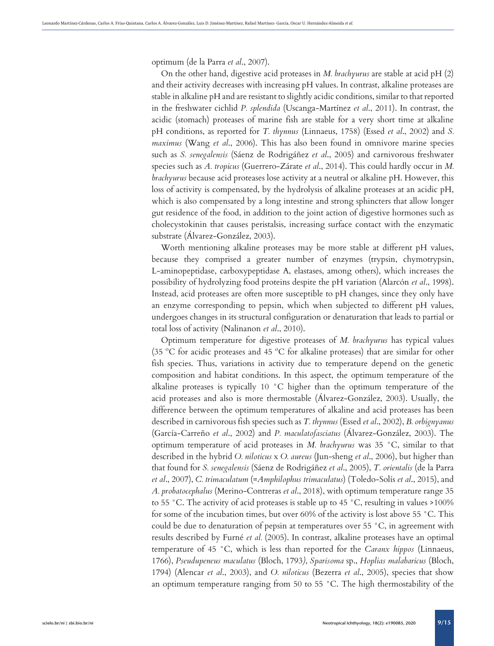optimum (de la Parra *et al*., 2007).

On the other hand, digestive acid proteases in *M. brachyurus* are stable at acid pH (2) and their activity decreases with increasing pH values. In contrast, alkaline proteases are stable in alkaline pH and are resistant to slightly acidic conditions, similar to that reported in the freshwater cichlid *P. splendida* (Uscanga-Martínez *et al*., 2011). In contrast, the acidic (stomach) proteases of marine fish are stable for a very short time at alkaline pH conditions, as reported for *T. thynnus* (Linnaeus, 1758) (Essed *et al*., 2002) and *S. maximus* (Wang *et al*., 2006). This has also been found in omnivore marine species such as *S. senegalensis* (Sáenz de Rodrigáñez *et al*., 2005) and carnivorous freshwater species such as *A. tropicus* (Guerrero-Zárate *et al*., 2014). This could hardly occur in *M. brachyurus* because acid proteases lose activity at a neutral or alkaline pH. However, this loss of activity is compensated, by the hydrolysis of alkaline proteases at an acidic pH, which is also compensated by a long intestine and strong sphincters that allow longer gut residence of the food, in addition to the joint action of digestive hormones such as cholecystokinin that causes peristalsis, increasing surface contact with the enzymatic substrate (Álvarez-González, 2003).

Worth mentioning alkaline proteases may be more stable at different pH values, because they comprised a greater number of enzymes (trypsin, chymotrypsin, L-aminopeptidase, carboxypeptidase A, elastases, among others), which increases the possibility of hydrolyzing food proteins despite the pH variation (Alarcón *et al*., 1998). Instead, acid proteases are often more susceptible to pH changes, since they only have an enzyme corresponding to pepsin, which when subjected to different pH values, undergoes changes in its structural configuration or denaturation that leads to partial or total loss of activity (Nalinanon *et al*., 2010).

Optimum temperature for digestive proteases of *M. brachyurus* has typical values (35 ºC for acidic proteases and 45 ºC for alkaline proteases) that are similar for other fish species. Thus, variations in activity due to temperature depend on the genetic composition and habitat conditions. In this aspect, the optimum temperature of the alkaline proteases is typically 10 °C higher than the optimum temperature of the acid proteases and also is more thermostable (Álvarez-González, 2003). Usually, the difference between the optimum temperatures of alkaline and acid proteases has been described in carnivorous fish species such as *T. thynnus* (Essed *et al*., 2002), *B. orbignyanus* (García-Carreño *et al*., 2002) and *P. maculatofasciatus* (Álvarez-González, 2003). The optimum temperature of acid proteases in *M. brachyurus* was 35 °C, similar to that described in the hybrid *O. niloticus* x *O. aureus* (Jun-sheng *et al*., 2006), but higher than that found for *S. senegalensis* (Sáenz de Rodrigáñez *et al*., 2005), *T. orientalis* (de la Parra *et al*., 2007), *C. trimaculatum* (=*Amphilophus trimaculatus*) (Toledo-Solís *et al*., 2015), and *A. probatocephalus* (Merino-Contreras *et al*., 2018), with optimum temperature range 35 to 55 °C. The activity of acid proteases is stable up to 45 °C, resulting in values >100% for some of the incubation times, but over 60% of the activity is lost above 55 °C. This could be due to denaturation of pepsin at temperatures over 55  $\degree$ C, in agreement with results described by Furné *et al.* (2005). In contrast, alkaline proteases have an optimal temperature of 45 °C, which is less than reported for the *Caranx hippos* (Linnaeus, 1766), *Pseudupeneus maculatus* (Bloch, 1793*)*, *Sparisoma* sp., *Hoplias malabaricus* (Bloch, 1794) (Alencar *et al*., 2003), and *O. niloticus* (Bezerra *et al*., 2005), species that show an optimum temperature ranging from 50 to 55 °C. The high thermostability of the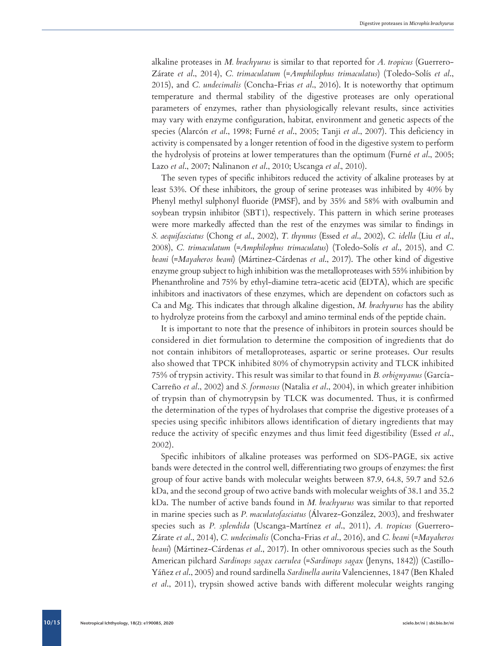alkaline proteases in *M. brachyurus* is similar to that reported for *A. tropicus* (Guerrero-Zárate *et al*., 2014), *C. trimaculatum* (=*Amphilophus trimaculatus*) (Toledo-Solís *et al*., 2015), and *C. undecimalis* (Concha-Frias *et al*., 2016). It is noteworthy that optimum temperature and thermal stability of the digestive proteases are only operational parameters of enzymes, rather than physiologically relevant results, since activities may vary with enzyme configuration, habitat, environment and genetic aspects of the species (Alarcón *et al*., 1998; Furné *et al*., 2005; Tanji *et al*., 2007). This deficiency in activity is compensated by a longer retention of food in the digestive system to perform the hydrolysis of proteins at lower temperatures than the optimum (Furné *et al*., 2005; Lazo *et al*., 2007; Nalinanon *et al*., 2010; Uscanga *et al.*, 2010).

The seven types of specific inhibitors reduced the activity of alkaline proteases by at least 53%. Of these inhibitors, the group of serine proteases was inhibited by 40% by Phenyl methyl sulphonyl fluoride (PMSF), and by 35% and 58% with ovalbumin and soybean trypsin inhibitor (SBT1), respectively. This pattern in which serine proteases were more markedly affected than the rest of the enzymes was similar to findings in *S. aequifasciatus* (Chong *et al*., 2002), *T. thynnus* (Essed *et al*., 2002), *C. idella* (Liu *et al*., 2008), *C. trimaculatum* (=*Amphilophus trimaculatus*) (Toledo-Solís *et al*., 2015), and *C. beani* (=*Mayaheros beani*) (Mártinez-Cárdenas *et al*., 2017). The other kind of digestive enzyme group subject to high inhibition was the metalloproteases with 55% inhibition by Phenanthroline and 75% by ethyl-diamine tetra-acetic acid (EDTA), which are specific inhibitors and inactivators of these enzymes, which are dependent on cofactors such as Ca and Mg. This indicates that through alkaline digestion, *M. brachyurus* has the ability to hydrolyze proteins from the carboxyl and amino terminal ends of the peptide chain.

It is important to note that the presence of inhibitors in protein sources should be considered in diet formulation to determine the composition of ingredients that do not contain inhibitors of metalloproteases, aspartic or serine proteases. Our results also showed that TPCK inhibited 80% of chymotrypsin activity and TLCK inhibited 75% of trypsin activity. This result was similar to that found in *B. orbignyanus* (García-Carreño *et al*., 2002) and *S. formosus* (Natalia *et al*., 2004), in which greater inhibition of trypsin than of chymotrypsin by TLCK was documented. Thus, it is confirmed the determination of the types of hydrolases that comprise the digestive proteases of a species using specific inhibitors allows identification of dietary ingredients that may reduce the activity of specific enzymes and thus limit feed digestibility (Essed *et al*., 2002).

Specific inhibitors of alkaline proteases was performed on SDS-PAGE, six active bands were detected in the control well, differentiating two groups of enzymes: the first group of four active bands with molecular weights between 87.9, 64.8, 59.7 and 52.6 kDa, and the second group of two active bands with molecular weights of 38.1 and 35.2 kDa. The number of active bands found in *M. brachyurus* was similar to that reported in marine species such as *P. maculatofasciatus* (Álvarez-González, 2003), and freshwater species such as *P. splendida* (Uscanga-Martínez *et al*., 2011), *A. tropicus* (Guerrero-Zárate *et al*., 2014), *C. undecimalis* (Concha-Frias *et al*., 2016), and *C. beani* (=*Mayaheros beani*) (Mártinez-Cárdenas *et al*., 2017). In other omnivorous species such as the South American pilchard *Sardinops sagax caerulea* (=*Sardinops sagax* (Jenyns, 1842)) (Castillo-Yáñez *et al*., 2005) and round sardinella *Sardinella aurita* Valenciennes, 1847 (Ben Khaled *et al*., 2011), trypsin showed active bands with different molecular weights ranging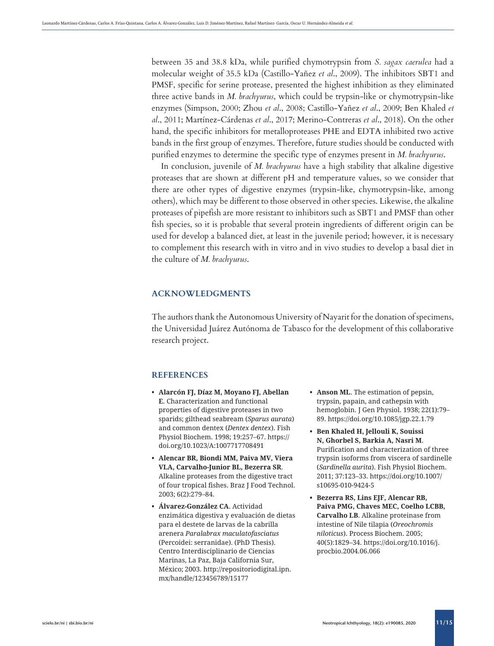between 35 and 38.8 kDa, while purified chymotrypsin from *S. sagax caerulea* had a molecular weight of 35.5 kDa (Castillo-Yañez *et al*., 2009). The inhibitors SBT1 and PMSF, specific for serine protease, presented the highest inhibition as they eliminated three active bands in *M. brachyurus*, which could be trypsin-like or chymotrypsin-like enzymes (Simpson, 2000; Zhou *et al*., 2008; Castillo-Yañez *et al*., 2009; Ben Khaled *et al*., 2011; Martínez-Cárdenas *et al*., 2017; Merino-Contreras *et al*., 2018). On the other hand, the specific inhibitors for metalloproteases PHE and EDTA inhibited two active bands in the first group of enzymes. Therefore, future studies should be conducted with purified enzymes to determine the specific type of enzymes present in *M. brachyurus*.

In conclusion, juvenile of *M. brachyurus* have a high stability that alkaline digestive proteases that are shown at different pH and temperature values, so we consider that there are other types of digestive enzymes (trypsin-like, chymotrypsin-like, among others), which may be different to those observed in other species. Likewise, the alkaline proteases of pipefish are more resistant to inhibitors such as SBT1 and PMSF than other fish species, so it is probable that several protein ingredients of different origin can be used for develop a balanced diet, at least in the juvenile period; however, it is necessary to complement this research with in vitro and in vivo studies to develop a basal diet in the culture of *M. brachyurus*.

## **ACKNOWLEDGMENTS**

The authors thank the Autonomous University of Nayarit for the donation of specimens, the Universidad Juárez Autónoma de Tabasco for the development of this collaborative research project.

# **REFERENCES**

- **• Alarcón FJ, Díaz M, Moyano FJ, Abellan E**. Characterization and functional properties of digestive proteases in two sparids; gilthead seabream (*Sparus aurata*) and common dentex (*Dentex dentex*). Fish Physiol Biochem. 1998; 19:257–67. [https://](https://doi.org/10.1023/A:1007717708491) [doi.org/10.1023/A:1007717708491](https://doi.org/10.1023/A:1007717708491)
- **• Alencar BR, Biondi MM, Paiva MV, Viera VLA, Carvalho-Junior BL, Bezerra SR**. Alkaline proteases from the digestive tract of four tropical fishes. Braz J Food Technol. 2003; 6(2):279–84.
- **• Álvarez-González CA**. Actividad enzimática digestiva y evaluación de dietas para el destete de larvas de la cabrilla arenera *Paralabrax maculatofasciatus* (Percoidei: serranidae). (PhD Thesis). Centro Interdisciplinario de Ciencias Marinas, La Paz, Baja California Sur, México; 2003. [http://repositoriodigital.ipn.](http://repositoriodigital.ipn.mx/handle/123456789/15177) [mx/handle/123456789/15177](http://repositoriodigital.ipn.mx/handle/123456789/15177)
- **• Anson ML**. The estimation of pepsin, trypsin, papain, and cathepsin with hemoglobin. J Gen Physiol. 1938; 22(1):79– 89.<https://doi.org/10.1085/jgp.22.1.79>
- **• Ben Khaled H, Jellouli K, Souissi N, Ghorbel S, Barkia A, Nasri M**. Purification and characterization of three trypsin isoforms from viscera of sardinelle (*Sardinella aurita*). Fish Physiol Biochem. 2011; 37:123–33. [https://doi.org/10.1007/](https://doi.org/10.1007/s10695-010-9424-5) [s10695-010-9424-5](https://doi.org/10.1007/s10695-010-9424-5)
- **• Bezerra RS, Lins EJF, Alencar RB, Paiva PMG, Chaves MEC, Coelho LCBB, Carvalho LB**. Alkaline proteinase from intestine of Nile tilapia (*Oreochromis niloticus*). Process Biochem. 2005; 40(5):1829–34. [https://doi.org/10.1016/j.](https://doi.org/10.1016/j.procbio.2004.06.066) [procbio.2004.06.066](https://doi.org/10.1016/j.procbio.2004.06.066)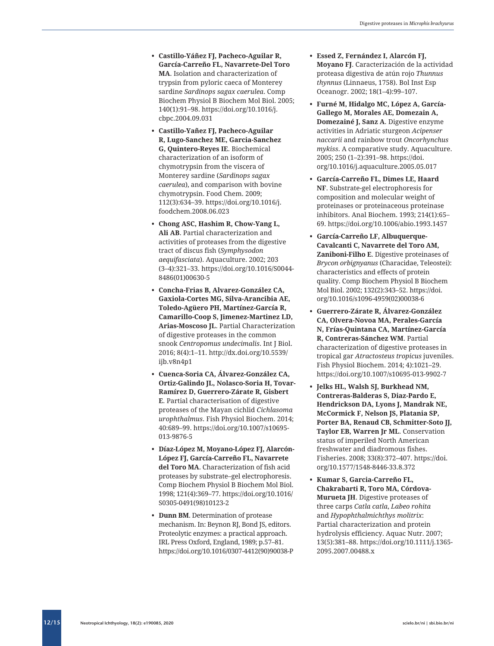- **García-Carreño FL, Navarrete-Del Toro MA**. Isolation and characterization of trypsin from pyloric caeca of Monterey sardine *Sardinops sagax caerulea*. Comp Biochem Physiol B Biochem Mol Biol. 2005; 140(1):91–98. [https://doi.org/10.1016/j.](https://doi.org/10.1016/j.cbpc.2004.09.031) [cbpc.2004.09.031](https://doi.org/10.1016/j.cbpc.2004.09.031)
- **• Castillo-Yañez FJ, Pacheco-Aguilar R, Lugo-Sanchez ME, Garcia-Sanchez G, Quintero-Reyes IE**. Biochemical characterization of an isoform of chymotrypsin from the viscera of Monterey sardine (*Sardinops sagax caerulea*), and comparison with bovine chymotrypsin. Food Chem. 2009; 112(3):634–39. [https://doi.org/10.1016/j.](https://doi.org/10.1016/j.foodchem.2008.06.023) [foodchem.2008.06.023](https://doi.org/10.1016/j.foodchem.2008.06.023)
- **• Chong ASC, Hashim R, Chow-Yang L, Ali AB**. Partial characterization and activities of proteases from the digestive tract of discus fish (*Symphysodon aequifasciata*). Aquaculture. 2002; 203 (3–4):321–33. [https://doi.org/10.1016/S0044-](https://doi.org/10.1016/S0044-8486(01)00630-5) [8486\(01\)00630-5](https://doi.org/10.1016/S0044-8486(01)00630-5)
- **• Concha-Frias B, Alvarez-González CA, Gaxiola-Cortes MG, Silva-Arancibia AE, Toledo-Agüero PH, Martínez-García R, Camarillo-Coop S, Jimenez-Martinez LD, Arias-Moscoso JL**. Partial Characterization of digestive proteases in the common snook *Centropomus undecimalis*. Int J Biol. 2016; 8(4):1–11. [http://dx.doi.org/10.5539/](http://dx.doi.org/10.5539/ijb.v8n4p1) [ijb.v8n4p1](http://dx.doi.org/10.5539/ijb.v8n4p1)
- **• Cuenca-Soria CA, Álvarez-González CA, Ortiz-Galindo JL, Nolasco-Soria H, Tovar-Ramírez D, Guerrero-Zárate R, Gisbert E**. Partial characterisation of digestive proteases of the Mayan cichlid *Cichlasoma urophthalmus*. Fish Physiol Biochem. 2014; 40:689–99. [https://doi.org/10.1007/s10695-](https://doi.org/10.1007/s10695-013-9876-5) [013-9876-5](https://doi.org/10.1007/s10695-013-9876-5)
- **• Díaz-López M, Moyano-López FJ, Alarcón-López FJ, García-Carreño FL, Navarrete del Toro MA**. Characterization of fish acid proteases by substrate–gel electrophoresis. Comp Biochem Physiol B Biochem Mol Biol. 1998; 121(4):369–77. [https://doi.org/10.1016/](https://doi.org/10.1016/S0305-0491(98)10123-2) [S0305-0491\(98\)10123-2](https://doi.org/10.1016/S0305-0491(98)10123-2)
- **• Dunn BM**. Determination of protease mechanism. In: Beynon RJ, Bond JS, editors. Proteolytic enzymes: a practical approach. IRL Press Oxford, England, 1989; p.57–81. [https://doi.org/10.1016/0307-4412\(90\)90038-P](https://doi.org/10.1016/0307-4412(90)90038-P)
- **• Essed Z, Fernández I, Alarcón FJ, Moyano FJ**. Caracterización de la actividad proteasa digestiva de atún rojo *Thunnus thynnus* (Linnaeus, 1758). Bol Inst Esp Oceanogr. 2002; 18(1–4):99–107.
- **• Furné M, Hidalgo MC, López A, García-Gallego M, Morales AE, Domezain A, Domezainé J, Sanz A**. Digestive enzyme activities in Adriatic sturgeon *Acipenser naccarii* and rainbow trout *Oncorhynchus mykiss*. A comparative study. Aquaculture. 2005; 250 (1–2):391–98. [https://doi.](https://doi.org/10.1016/j.aquaculture.2005.05.017) [org/10.1016/j.aquaculture.2005.05.017](https://doi.org/10.1016/j.aquaculture.2005.05.017)
- **• García-Carreño FL, Dimes LE, Haard NF**. Substrate-gel electrophoresis for composition and molecular weight of proteinases or proteinaceous proteinase inhibitors. Anal Biochem. 1993; 214(1):65– 69.<https://doi.org/10.1006/abio.1993.1457>
- **• García-Carreño LF, Albuquerque-Cavalcanti C, Navarrete del Toro AM, Zaniboni-Filho E**. Digestive proteinases of *Brycon orbignyanus* (Characidae, Teleostei): characteristics and effects of protein quality. Comp Biochem Physiol B Biochem Mol Biol. 2002; 132(2):343–52. [https://doi.](https://doi.org/10.1016/s1096-4959(02)00038-6) [org/10.1016/s1096-4959\(02\)00038-6](https://doi.org/10.1016/s1096-4959(02)00038-6)
- **• Guerrero-Zárate R, Álvarez-González CA, Olvera-Novoa MA, Perales-García N, Frías-Quintana CA, Martínez-García R, Contreras-Sánchez WM**. Partial characterization of digestive proteases in tropical gar *Atractosteus tropicus* juveniles. Fish Physiol Biochem. 2014; 4):1021–29. <https://doi.org/10.1007/s10695-013-9902-7>
- **1** Castillo-Total Islam (12/2): e190085, 2020 [scielo.br/ni](http://scielo.br/ni) **•** Packed Aguilar Castillo-Total Islam (12/2): e190085, 2020 scielo.br/ni **•** Packed Aguilar Castillo-Yand Castillo-Yand Castillo-Yand Castillo-Yand Castillo-Y **• Jelks HL, Walsh SJ, Burkhead NM, Contreras-Balderas S, Diaz-Pardo E, Hendrickson DA, Lyons J, Mandrak NE, McCormick F, Nelson JS, Platania SP, Porter BA, Renaud CB, Schmitter-Soto JJ, Taylor EB, Warren Jr ML**. Conservation status of imperiled North American freshwater and diadromous fishes. Fisheries. 2008; 33(8):372–407. [https://doi.](https://doi.org/10.1577/1548-8446-33.8.372) [org/10.1577/1548-8446-33.8.372](https://doi.org/10.1577/1548-8446-33.8.372)
	- **• Kumar S, Garcia-Carreño FL, Chakrabarti R, Toro MA, Córdova-Murueta JH**. Digestive proteases of three carps *Catla catla*, *Labeo rohita* and *Hypophthalmichthys molitrix*: Partial characterization and protein hydrolysis efficiency. Aquac Nutr. 2007; 13(5):381–88. [https://doi.org/10.1111/j.1365-](https://doi.org/10.1111/j.1365-2095.2007.00488.x) [2095.2007.00488.x](https://doi.org/10.1111/j.1365-2095.2007.00488.x)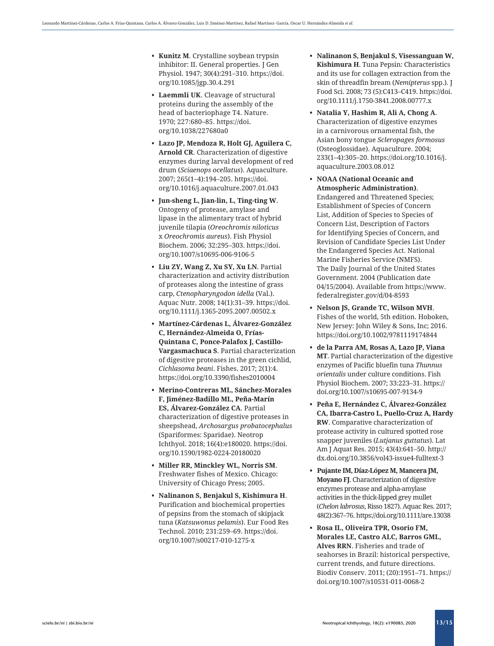- inhibitor: II. General properties. J Gen Physiol. 1947; 30(4):291–310. [https://doi.](https://doi.org/10.1085/jgp.30.4.291) [org/10.1085/jgp.30.4.291](https://doi.org/10.1085/jgp.30.4.291)
- **• Laemmli UK**. Cleavage of structural proteins during the assembly of the head of bacteriophage T4. Nature. 1970; 227:680–85. [https://doi.](https://doi.org/10.1038/227680a0) [org/10.1038/227680a0](https://doi.org/10.1038/227680a0)
- **• Lazo JP, Mendoza R, Holt GJ, Aguilera C, Arnold CR**. Characterization of digestive enzymes during larval development of red drum (*Sciaenops ocellatus*). Aquaculture. 2007; 265(1–4):194–205. [https://doi.](https://doi.org/10.1016/j.aquaculture.2007.01.043) [org/10.1016/j.aquaculture.2007.01.043](https://doi.org/10.1016/j.aquaculture.2007.01.043)
- **• Jun-sheng L, Jian-lin, L, Ting-ting W**. Ontogeny of protease, amylase and lipase in the alimentary tract of hybrid juvenile tilapia (*Oreochromis niloticus* x *Oreochromis aureus*). Fish Physiol Biochem. 2006; 32:295–303. [https://doi.](https://doi.org/10.1007/s10695-006-9106-5) [org/10.1007/s10695-006-9106-5](https://doi.org/10.1007/s10695-006-9106-5)
- **• Liu ZY, Wang Z, Xu SY, Xu LN**. Partial characterization and activity distribution of proteases along the intestine of grass carp, *Ctenopharyngodon idella* (Val.). Aquac Nutr. 2008; 14(1):31–39. [https://doi.](https://doi.org/10.1111/j.1365-2095.2007.00502.x) [org/10.1111/j.1365-2095.2007.00502.x](https://doi.org/10.1111/j.1365-2095.2007.00502.x)
- **• Martínez-Cárdenas L, Álvarez-González C, Hernández-Almeida O, Frías-Quintana C, Ponce-Palafox J, Castillo-Vargasmachuca S**. Partial characterization of digestive proteases in the green cichlid, *Cichlasoma beani*. Fishes. 2017; 2(1):4. <https://doi.org/10.3390/fishes2010004>
- **• Merino-Contreras ML, Sánchez-Morales F, Jiménez-Badillo ML, Peña-Marín ES, Álvarez-González CA**. Partial characterization of digestive proteases in sheepshead, *Archosargus probatocephalus*  (Spariformes: Sparidae). Neotrop Ichthyol. 2018; 16(4):e180020. [https://doi.](https://doi.org/10.1590/1982-0224-20180020) [org/10.1590/1982-0224-20180020](https://doi.org/10.1590/1982-0224-20180020)
- **• Miller RR, Minckley WL, Norris SM**. Freshwater fishes of Mexico. Chicago: University of Chicago Press; 2005.
- **• Nalinanon S, Benjakul S, Kishimura H**. Purification and biochemical properties of pepsins from the stomach of skipjack tuna (*Katsuwonus pelamis*). Eur Food Res Technol. 2010; 231:259–69. [https://doi.](https://doi.org/10.1007/s00217-010-1275-x) [org/10.1007/s00217-010-1275-x](https://doi.org/10.1007/s00217-010-1275-x)
- **• Nalinanon S, Benjakul S, Visessanguan W, Kishimura H**. Tuna Pepsin: Characteristics and its use for collagen extraction from the skin of threadfin bream (*Nemipterus* spp.). J Food Sci. 2008; 73 (5):C413–C419. [https://doi.](https://doi.org/10.1111/j.1750-3841.2008.00777.x) [org/10.1111/j.1750-3841.2008.00777.x](https://doi.org/10.1111/j.1750-3841.2008.00777.x)
- **• Natalia Y, Hashim R, Ali A, Chong A**. Characterization of digestive enzymes in a carnivorous ornamental fish, the Asian bony tongue *Scleropages formosus* (Osteoglossidae). Aquaculture. 2004; 233(1–4):305–20. [https://doi.org/10.1016/j.](https://doi.org/10.1016/j.aquaculture.2003.08.012) [aquaculture.2003.08.012](https://doi.org/10.1016/j.aquaculture.2003.08.012)
- s Factor Riversics is a state of the state of the state of the state of the state of the state of the state of the state of the state of the state of the state of the state of the state of the state of the state of the st **• NOAA (National Oceanic and Atmospheric Administration)**. Endangered and Threatened Species; Establishment of Species of Concern List, Addition of Species to Species of Concern List, Description of Factors for Identifying Species of Concern, and Revision of Candidate Species List Under the Endangered Species Act. National Marine Fisheries Service (NMFS). The Daily Journal of the United States Government. 2004 (Publication date 04/15/2004). Available from [https://www.](https://www.federalregister.gov/d/04-8593) [federalregister.gov/d/04-8593](https://www.federalregister.gov/d/04-8593)
	- **• Nelson JS, Grande TC, Wilson MVH**. Fishes of the world, 5th edition. Hoboken, New Jersey: John Wiley & Sons, Inc; 2016. <https://doi.org/10.1002/9781119174844>
	- **• de la Parra AM, Rosas A, Lazo JP, Viana MT**. Partial characterization of the digestive enzymes of Pacific bluefin tuna *Thunnus orientalis* under culture conditions. Fish Physiol Biochem. 2007; 33:223–31. [https://](https://doi.org/10.1007/s10695-007-9134-9) [doi.org/10.1007/s10695-007-9134-9](https://doi.org/10.1007/s10695-007-9134-9)
	- **• Peña E, Hernández C, Álvarez-González CA, Ibarra-Castro L, Puello-Cruz A, Hardy RW**. Comparative characterization of protease activity in cultured spotted rose snapper juveniles (*Lutjanus guttatus*). Lat Am J Aquat Res. 2015; 43(4):641–50. [http://](http://dx.doi.org/10.3856/vol43-issue4-fulltext-3) [dx.doi.org/10.3856/vol43-issue4-fulltext-3](http://dx.doi.org/10.3856/vol43-issue4-fulltext-3)
	- **• Pujante IM, Díaz-López M, Mancera JM, Moyano FJ**. Characterization of digestive enzymes protease and alpha-amylase activities in the thick-lipped grey mullet (*Chelon labrosus*, Risso 1827). Aquac Res. 2017; 48(2):367–76.<https://doi.org/10.1111/are.13038>
	- **• Rosa IL, Oliveira TPR, Osorio FM, Morales LE, Castro ALC, Barros GML, Alves RRN**. Fisheries and trade of seahorses in Brazil: historical perspective, current trends, and future directions. Biodiv Conserv. 2011; (20):1951–71. [https://](https://doi.org/10.1007/s10531-011-0068-2) [doi.org/10.1007/s10531-011-0068-2](https://doi.org/10.1007/s10531-011-0068-2)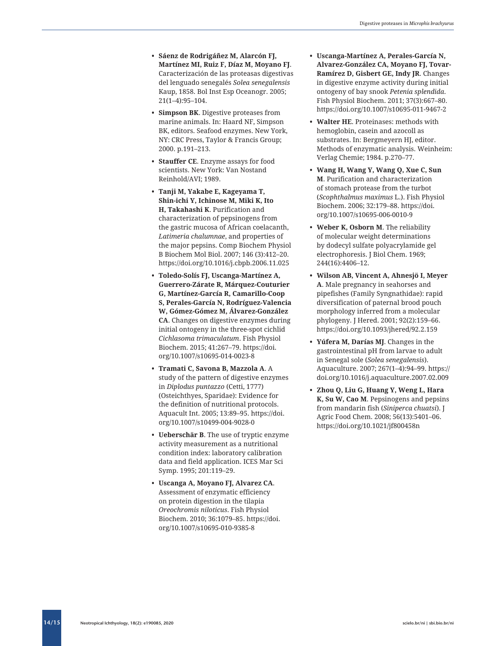- **• Sáenz de Rodrigáñez M, Alarcón FJ, Martínez MI, Ruiz F, Díaz M, Moyano FJ**. Caracterización de las proteasas digestivas del lenguado senegalés *Solea senegalensis* Kaup, 1858. Bol Inst Esp Oceanogr. 2005; 21(1–4):95–104.
- **• Simpson BK**. Digestive proteases from marine animals. In: Haard NF, Simpson BK, editors. Seafood enzymes. New York, NY: CRC Press, Taylor & Francis Group; 2000. p.191–213.
- **• Stauffer CE**. Enzyme assays for food scientists. New York: Van Nostand Reinhold/AVI; 1989.
- **• Tanji M, Yakabe E, Kageyama T, Shin-ichi Y, Ichinose M, Miki K, Ito H, Takahashi K**. Purification and characterization of pepsinogens from the gastric mucosa of African coelacanth, *Latimeria chalumnae*, and properties of the major pepsins. Comp Biochem Physiol B Biochem Mol Biol. 2007; 146 (3):412–20. <https://doi.org/10.1016/j.cbpb.2006.11.025>
- **• Toledo-Solís FJ, Uscanga-Martínez A, Guerrero-Zárate R, Márquez-Couturier G, Martínez-García R, Camarillo-Coop S, Perales-García N, Rodríguez-Valencia W, Gómez-Gómez M, Álvarez-González CA**. Changes on digestive enzymes during initial ontogeny in the three-spot cichlid *Cichlasoma trimaculatum*. Fish Physiol Biochem. 2015; 41:267–79. [https://doi.](https://doi.org/10.1007/s10695-014-0023-8) [org/10.1007/s10695-014-0023-8](https://doi.org/10.1007/s10695-014-0023-8)
- **• Tramati C, Savona B, Mazzola A**. A study of the pattern of digestive enzymes in *Diplodus puntazzo* (Cetti, 1777) (Osteichthyes, Sparidae): Evidence for the definition of nutritional protocols. Aquacult Int. 2005; 13:89–95. [https://doi.](https://doi.org/10.1007/s10499-004-9028-0) [org/10.1007/s10499-004-9028-0](https://doi.org/10.1007/s10499-004-9028-0)
- **• Ueberschär B**. The use of tryptic enzyme activity measurement as a nutritional condition index: laboratory calibration data and field application. ICES Mar Sci Symp. 1995; 201:119–29.
- **• Uscanga A, Moyano FJ, Alvarez CA**. Assessment of enzymatic efficiency on protein digestion in the tilapia *Oreochromis niloticus*. Fish Physiol Biochem. 2010; 36:1079–85. [https://doi.](https://doi.org/10.1007/s10695-010-9385-8) [org/10.1007/s10695-010-9385-8](https://doi.org/10.1007/s10695-010-9385-8)
- **• Uscanga-Martínez A, Perales-García N, Alvarez-González CA, Moyano FJ, Tovar-Ramírez D, Gisbert GE, Indy JR**. Changes in digestive enzyme activity during initial ontogeny of bay snook *Petenia splendida*. Fish Physiol Biochem. 2011; 37(3):667–80. <https://doi.org/10.1007/s10695-011-9467-2>
- **• Walter HE**. Proteinases: methods with hemoglobin, casein and azocoll as substrates. In: Bergmeyern HJ, editor. Methods of enzymatic analysis. Weinheim: Verlag Chemie; 1984. p.270–77.
- **• Wang H, Wang Y, Wang Q, Xue C, Sun M**. Purification and characterization of stomach protease from the turbot (*Scophthalmus maximus* L.). Fish Physiol Biochem. 2006; 32:179–88. [https://doi.](https://doi.org/10.1007/s10695-006-0010-9) [org/10.1007/s10695-006-0010-9](https://doi.org/10.1007/s10695-006-0010-9)
- **• Weber K, Osborn M**. The reliability of molecular weight determinations by dodecyl sulfate polyacrylamide gel electrophoresis. J Biol Chem. 1969; 244(16):4406–12.
- **• Wilson AB, Vincent A, Ahnesjö I, Meyer A**. Male pregnancy in seahorses and pipefishes (Family Syngnathidae): rapid diversification of paternal brood pouch morphology inferred from a molecular phylogeny. J Hered. 2001; 92(2):159–66. https://doi.org/10.1093/jhered/92.2.159
- **• Yúfera M, Darías MJ**. Changes in the gastrointestinal pH from larvae to adult in Senegal sole (*Solea senegalensis*). Aquaculture. 2007; 267(1–4):94–99. [https://](https://doi.org/10.1016/j.aquaculture.2007.02.009) [doi.org/10.1016/j.aquaculture.2007.02.009](https://doi.org/10.1016/j.aquaculture.2007.02.009)
- **• Zhou Q, Liu G, Huang Y, Weng L, Hara K, Su W, Cao M**. Pepsinogens and pepsins from mandarin fish (*Siniperca chuatsi*). J Agric Food Chem. 2008; 56(13):5401–06. <https://doi.org/10.1021/jf800458n>